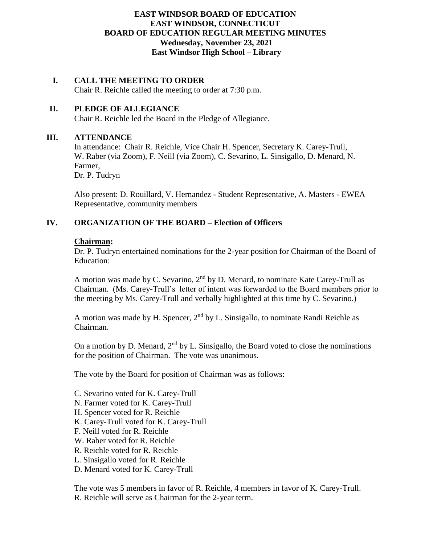# **EAST WINDSOR BOARD OF EDUCATION EAST WINDSOR, CONNECTICUT BOARD OF EDUCATION REGULAR MEETING MINUTES Wednesday, November 23, 2021 East Windsor High School – Library**

# **I. CALL THE MEETING TO ORDER**

Chair R. Reichle called the meeting to order at 7:30 p.m.

### **II. PLEDGE OF ALLEGIANCE**

Chair R. Reichle led the Board in the Pledge of Allegiance.

#### **III. ATTENDANCE**

In attendance: Chair R. Reichle, Vice Chair H. Spencer, Secretary K. Carey-Trull, W. Raber (via Zoom), F. Neill (via Zoom), C. Sevarino, L. Sinsigallo, D. Menard, N. Farmer,

Dr. P. Tudryn

Also present: D. Rouillard, V. Hernandez - Student Representative, A. Masters - EWEA Representative, community members

#### **IV. ORGANIZATION OF THE BOARD – Election of Officers**

#### **Chairman:**

Dr. P. Tudryn entertained nominations for the 2-year position for Chairman of the Board of Education:

A motion was made by C. Sevarino, 2nd by D. Menard, to nominate Kate Carey-Trull as Chairman. (Ms. Carey-Trull's letter of intent was forwarded to the Board members prior to the meeting by Ms. Carey-Trull and verbally highlighted at this time by C. Sevarino.)

A motion was made by H. Spencer,  $2<sup>nd</sup>$  by L. Sinsigallo, to nominate Randi Reichle as Chairman.

On a motion by D. Menard,  $2<sup>nd</sup>$  by L. Sinsigallo, the Board voted to close the nominations for the position of Chairman. The vote was unanimous.

The vote by the Board for position of Chairman was as follows:

- C. Sevarino voted for K. Carey-Trull
- N. Farmer voted for K. Carey-Trull
- H. Spencer voted for R. Reichle
- K. Carey-Trull voted for K. Carey-Trull
- F. Neill voted for R. Reichle
- W. Raber voted for R. Reichle
- R. Reichle voted for R. Reichle
- L. Sinsigallo voted for R. Reichle
- D. Menard voted for K. Carey-Trull

The vote was 5 members in favor of R. Reichle, 4 members in favor of K. Carey-Trull. R. Reichle will serve as Chairman for the 2-year term.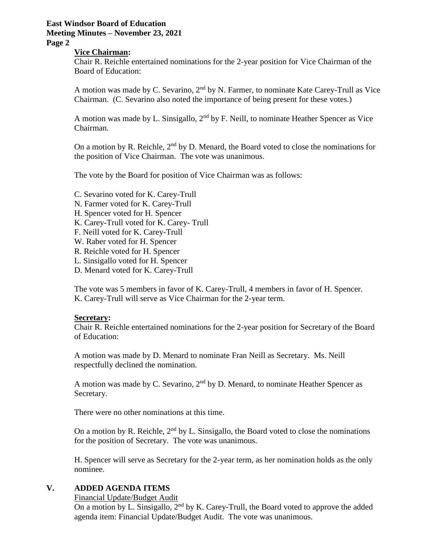# **East Windsor Board of Education**

# **Meeting Minutes – November 23, 2021**

# **Page 2**

#### **Vice Chairman:**

Chair R. Reichle entertained nominations for the 2-year position for Vice Chairman of the Board of Education:

A motion was made by C. Sevarino, 2nd by N. Farmer, to nominate Kate Carey-Trull as Vice Chairman. (C. Sevarino also noted the importance of being present for these votes.)

A motion was made by L. Sinsigallo, 2<sup>nd</sup> by F. Neill, to nominate Heather Spencer as Vice Chairman.

On a motion by R. Reichle,  $2<sup>nd</sup>$  by D. Menard, the Board voted to close the nominations for the position of Vice Chairman. The vote was unanimous.

The vote by the Board for position of Vice Chairman was as follows:

- C. Sevarino voted for K. Carey-Trull
- N. Farmer voted for K. Carey-Trull
- H. Spencer voted for H. Spencer
- K. Carey-Trull voted for K. Carey- Trull
- F. Neill voted for K. Carey-Trull
- W. Raber voted for H. Spencer
- R. Reichle voted for H. Spencer
- L. Sinsigallo voted for H. Spencer
- D. Menard voted for K. Carey-Trull

The vote was 5 members in favor of K. Carey-Trull, 4 members in favor of H. Spencer. K. Carey-Trull will serve as Vice Chairman for the 2-year term.

#### **Secretary:**

Chair R. Reichle entertained nominations for the 2-year position for Secretary of the Board of Education:

A motion was made by D. Menard to nominate Fran Neill as Secretary. Ms. Neill respectfully declined the nomination.

A motion was made by C. Sevarino,  $2<sup>nd</sup>$  by D. Menard, to nominate Heather Spencer as Secretary.

There were no other nominations at this time.

On a motion by R. Reichle,  $2<sup>nd</sup>$  by L. Sinsigallo, the Board voted to close the nominations for the position of Secretary. The vote was unanimous.

H. Spencer will serve as Secretary for the 2-year term, as her nomination holds as the only nominee.

#### **V. ADDED AGENDA ITEMS**

Financial Update/Budget Audit

On a motion by L. Sinsigallo,  $2<sup>nd</sup>$  by K. Carey-Trull, the Board voted to approve the added agenda item: Financial Update/Budget Audit. The vote was unanimous.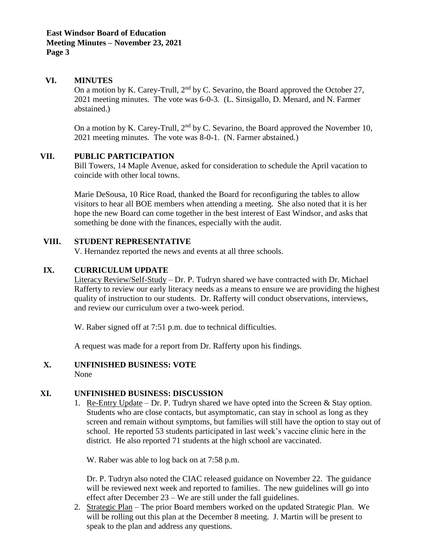#### **VI. MINUTES**

On a motion by K. Carey-Trull,  $2<sup>nd</sup>$  by C. Sevarino, the Board approved the October 27, 2021 meeting minutes. The vote was 6-0-3. (L. Sinsigallo, D. Menard, and N. Farmer abstained.)

On a motion by K. Carey-Trull,  $2<sup>nd</sup>$  by C. Sevarino, the Board approved the November 10, 2021 meeting minutes. The vote was 8-0-1. (N. Farmer abstained.)

#### **VII. PUBLIC PARTICIPATION**

Bill Towers, 14 Maple Avenue, asked for consideration to schedule the April vacation to coincide with other local towns.

Marie DeSousa, 10 Rice Road, thanked the Board for reconfiguring the tables to allow visitors to hear all BOE members when attending a meeting. She also noted that it is her hope the new Board can come together in the best interest of East Windsor, and asks that something be done with the finances, especially with the audit.

#### **VIII. STUDENT REPRESENTATIVE**

V. Hernandez reported the news and events at all three schools.

#### **IX. CURRICULUM UPDATE**

Literacy Review/Self-Study – Dr. P. Tudryn shared we have contracted with Dr. Michael Rafferty to review our early literacy needs as a means to ensure we are providing the highest quality of instruction to our students. Dr. Rafferty will conduct observations, interviews, and review our curriculum over a two-week period.

W. Raber signed off at 7:51 p.m. due to technical difficulties.

A request was made for a report from Dr. Rafferty upon his findings.

#### **X. UNFINISHED BUSINESS: VOTE** None

#### **XI. UNFINISHED BUSINESS: DISCUSSION**

1. Re-Entry Update – Dr. P. Tudryn shared we have opted into the Screen  $\&$  Stay option. Students who are close contacts, but asymptomatic, can stay in school as long as they screen and remain without symptoms, but families will still have the option to stay out of school. He reported 53 students participated in last week's vaccine clinic here in the district. He also reported 71 students at the high school are vaccinated.

W. Raber was able to log back on at 7:58 p.m.

Dr. P. Tudryn also noted the CIAC released guidance on November 22. The guidance will be reviewed next week and reported to families. The new guidelines will go into effect after December 23 – We are still under the fall guidelines.

2. Strategic Plan – The prior Board members worked on the updated Strategic Plan. We will be rolling out this plan at the December 8 meeting. J. Martin will be present to speak to the plan and address any questions.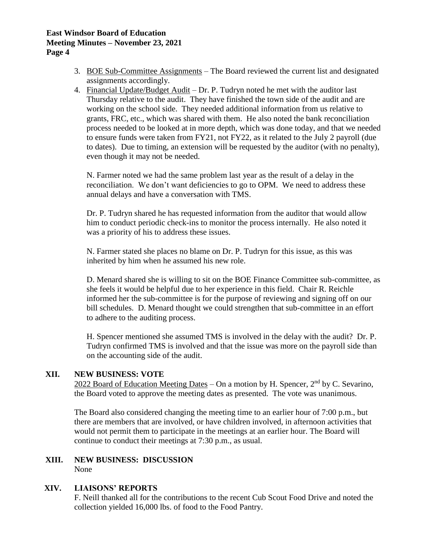#### **East Windsor Board of Education Meeting Minutes – November 23, 2021 Page 4**

- 3. BOE Sub-Committee Assignments The Board reviewed the current list and designated assignments accordingly.
- 4. Financial Update/Budget Audit Dr. P. Tudryn noted he met with the auditor last Thursday relative to the audit. They have finished the town side of the audit and are working on the school side. They needed additional information from us relative to grants, FRC, etc., which was shared with them. He also noted the bank reconciliation process needed to be looked at in more depth, which was done today, and that we needed to ensure funds were taken from FY21, not FY22, as it related to the July 2 payroll (due to dates). Due to timing, an extension will be requested by the auditor (with no penalty), even though it may not be needed.

N. Farmer noted we had the same problem last year as the result of a delay in the reconciliation. We don't want deficiencies to go to OPM. We need to address these annual delays and have a conversation with TMS.

Dr. P. Tudryn shared he has requested information from the auditor that would allow him to conduct periodic check-ins to monitor the process internally. He also noted it was a priority of his to address these issues.

N. Farmer stated she places no blame on Dr. P. Tudryn for this issue, as this was inherited by him when he assumed his new role.

D. Menard shared she is willing to sit on the BOE Finance Committee sub-committee, as she feels it would be helpful due to her experience in this field. Chair R. Reichle informed her the sub-committee is for the purpose of reviewing and signing off on our bill schedules. D. Menard thought we could strengthen that sub-committee in an effort to adhere to the auditing process.

H. Spencer mentioned she assumed TMS is involved in the delay with the audit? Dr. P. Tudryn confirmed TMS is involved and that the issue was more on the payroll side than on the accounting side of the audit.

# **XII. NEW BUSINESS: VOTE**

2022 Board of Education Meeting Dates – On a motion by H. Spencer,  $2<sup>nd</sup>$  by C. Sevarino, the Board voted to approve the meeting dates as presented. The vote was unanimous.

The Board also considered changing the meeting time to an earlier hour of 7:00 p.m., but there are members that are involved, or have children involved, in afternoon activities that would not permit them to participate in the meetings at an earlier hour. The Board will continue to conduct their meetings at 7:30 p.m., as usual.

#### **XIII. NEW BUSINESS: DISCUSSION** None

#### **XIV. LIAISONS' REPORTS**

F. Neill thanked all for the contributions to the recent Cub Scout Food Drive and noted the collection yielded 16,000 lbs. of food to the Food Pantry.